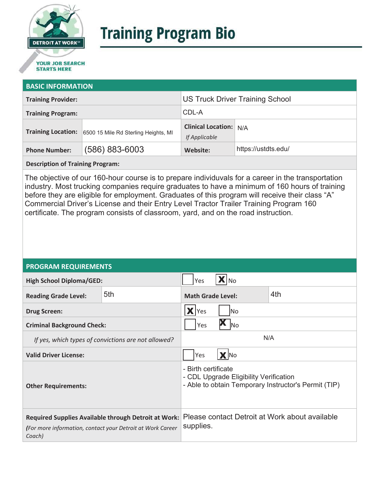

# **Training Program Bio**

## **STARTS HERE**

#### **BASIC INFORMATION**

| <b>Training Provider:</b> |                                      | <b>US Truck Driver Training School</b>         |                     |  |
|---------------------------|--------------------------------------|------------------------------------------------|---------------------|--|
| <b>Training Program:</b>  |                                      | CDL-A                                          |                     |  |
| <b>Training Location:</b> | 6500 15 Mile Rd Sterling Heights, MI | <b>Clinical Location:</b> N/A<br>If Applicable |                     |  |
| <b>Phone Number:</b>      | $(586) 883 - 6003$                   | Website:                                       | https://ustdts.edu/ |  |

**Description of Training Program:** 

The objective of our 160-hour course is to prepare individuvals for a career in the transportation industry. Most trucking companies require graduates to have a minimum of 160 hours of training before they are eligible for employment. Graduates of this program will receive their class "A" Commercial Driver's License and their Entry Level Tractor Trailer Training Program 160 certificate. The program consists of classroom, yard, and on the road instruction.

#### **PROGRAM REQUIREMENTS**

| <b>High School Diploma/GED:</b>                                                                                              |     | Yes<br>l No                                                                                                           |  |     |
|------------------------------------------------------------------------------------------------------------------------------|-----|-----------------------------------------------------------------------------------------------------------------------|--|-----|
| <b>Reading Grade Level:</b>                                                                                                  | 5th | <b>Math Grade Level:</b>                                                                                              |  | 4th |
| <b>Drug Screen:</b>                                                                                                          |     | Yes<br>lNo                                                                                                            |  |     |
| <b>Criminal Background Check:</b>                                                                                            |     | <b>No</b><br>Yes                                                                                                      |  |     |
| If yes, which types of convictions are not allowed?                                                                          |     | N/A                                                                                                                   |  |     |
| <b>Valid Driver License:</b>                                                                                                 |     | X No<br>Yes                                                                                                           |  |     |
| <b>Other Requirements:</b>                                                                                                   |     | - Birth certificate<br>- CDL Upgrade Eligibility Verification<br>- Able to obtain Temporary Instructor's Permit (TIP) |  |     |
| Required Supplies Available through Detroit at Work:<br>(For more information, contact your Detroit at Work Career<br>Coach) |     | Please contact Detroit at Work about available<br>supplies.                                                           |  |     |